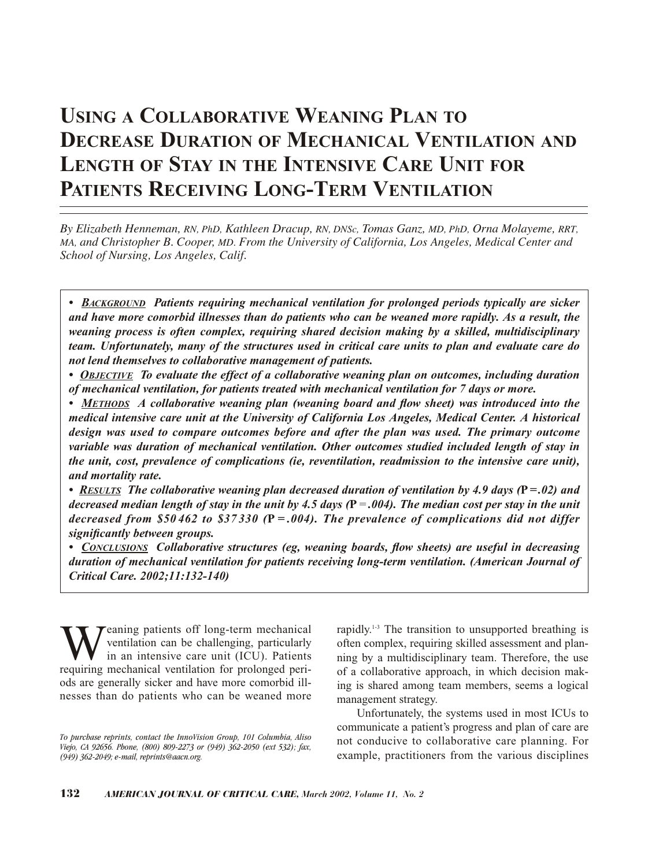# **USING A COLLABORATIVE WEANING PLAN TO DECREASE DURATION OF MECHANICAL VENTILATION AND LENGTH OF STAY IN THE INTENSIVE CARE UNIT FOR PATIENTS RECEIVING LONG-TERM VENTILATION**

*By Elizabeth Henneman, RN, PhD, Kathleen Dracup, RN, DNSc, Tomas Ganz, MD, PhD, Orna Molayeme, RRT, MA, and Christopher B. Cooper, MD. From the University of California, Los Angeles, Medical Center and School of Nursing, Los Angeles, Calif.*

*• BACKGROUND Patients requiring mechanical ventilation for prolonged periods typically are sicker and have more comorbid illnesses than do patients who can be weaned more rapidly. As a result, the weaning process is often complex, requiring shared decision making by a skilled, multidisciplinary team. Unfortunately, many of the structures used in critical care units to plan and evaluate care do not lend themselves to collaborative management of patients.*

*• OBJECTIVE To evaluate the effect of a collaborative weaning plan on outcomes, including duration of mechanical ventilation, for patients treated with mechanical ventilation for 7 days or more.* 

*• METHODS A collaborative weaning plan (weaning board and flow sheet) was introduced into the medical intensive care unit at the University of California Los Angeles, Medical Center. A historical design was used to compare outcomes before and after the plan was used. The primary outcome variable was duration of mechanical ventilation. Other outcomes studied included length of stay in the unit, cost, prevalence of complications (ie, reventilation, readmission to the intensive care unit), and mortality rate.*

*• RESULTS The collaborative weaning plan decreased duration of ventilation by 4.9 days (***P***= .02) and decreased median length of stay in the unit by 4.5 days (***P***=.004). The median cost per stay in the unit decreased from \$50 462 to \$37 330 (***P** *= .004). The prevalence of complications did not differ significantly between groups.* 

*• CONCLUSIONS Collaborative structures (eg, weaning boards, flow sheets) are useful in decreasing duration of mechanical ventilation for patients receiving long-term ventilation. (American Journal of Critical Care. 2002;11:132-140)*

Weaning patients off long-term mechanical<br>ventilation can be challenging, particularly<br>in an intensive care unit (ICU). Patients<br>requiring mechanical ventilation for prolonged periventilation can be challenging, particularly in an intensive care unit (ICU). Patients requiring mechanical ventilation for prolonged periods are generally sicker and have more comorbid illnesses than do patients who can be weaned more

rapidly.1-3 The transition to unsupported breathing is often complex, requiring skilled assessment and planning by a multidisciplinary team. Therefore, the use of a collaborative approach, in which decision making is shared among team members, seems a logical management strategy.

Unfortunately, the systems used in most ICUs to communicate a patient's progress and plan of care are not conducive to collaborative care planning. For example, practitioners from the various disciplines

*To purchase reprints, contact the InnoVision Group, 101 Columbia, Aliso Viejo, CA 92656. Phone, (800) 809-2273 or (949) 362-2050 (ext 532); fax, (949) 362-2049; e-mail, reprints@aacn.org.*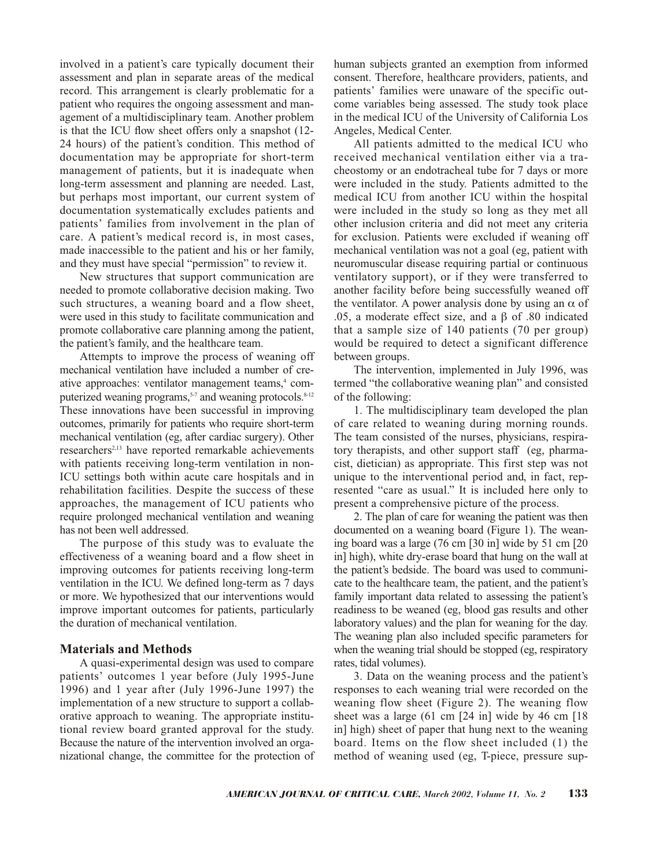involved in a patient's care typically document their assessment and plan in separate areas of the medical record. This arrangement is clearly problematic for a patient who requires the ongoing assessment and management of a multidisciplinary team. Another problem is that the ICU flow sheet offers only a snapshot (12- 24 hours) of the patient's condition. This method of documentation may be appropriate for short-term management of patients, but it is inadequate when long-term assessment and planning are needed. Last, but perhaps most important, our current system of documentation systematically excludes patients and patients' families from involvement in the plan of care. A patient's medical record is, in most cases, made inaccessible to the patient and his or her family, and they must have special "permission" to review it.

New structures that support communication are needed to promote collaborative decision making. Two such structures, a weaning board and a flow sheet, were used in this study to facilitate communication and promote collaborative care planning among the patient, the patient's family, and the healthcare team.

Attempts to improve the process of weaning off mechanical ventilation have included a number of creative approaches: ventilator management teams,<sup>4</sup> computerized weaning programs,<sup>5-7</sup> and weaning protocols.<sup>8-12</sup> These innovations have been successful in improving outcomes, primarily for patients who require short-term mechanical ventilation (eg, after cardiac surgery). Other researchers<sup>2,13</sup> have reported remarkable achievements with patients receiving long-term ventilation in non-ICU settings both within acute care hospitals and in rehabilitation facilities. Despite the success of these approaches, the management of ICU patients who require prolonged mechanical ventilation and weaning has not been well addressed.

The purpose of this study was to evaluate the effectiveness of a weaning board and a flow sheet in improving outcomes for patients receiving long-term ventilation in the ICU. We defined long-term as 7 days or more. We hypothesized that our interventions would improve important outcomes for patients, particularly the duration of mechanical ventilation.

# **Materials and Methods**

A quasi-experimental design was used to compare patients' outcomes 1 year before (July 1995-June 1996) and 1 year after (July 1996-June 1997) the implementation of a new structure to support a collaborative approach to weaning. The appropriate institutional review board granted approval for the study. Because the nature of the intervention involved an organizational change, the committee for the protection of

human subjects granted an exemption from informed consent. Therefore, healthcare providers, patients, and patients' families were unaware of the specific outcome variables being assessed. The study took place in the medical ICU of the University of California Los Angeles, Medical Center.

All patients admitted to the medical ICU who received mechanical ventilation either via a tracheostomy or an endotracheal tube for 7 days or more were included in the study. Patients admitted to the medical ICU from another ICU within the hospital were included in the study so long as they met all other inclusion criteria and did not meet any criteria for exclusion. Patients were excluded if weaning off mechanical ventilation was not a goal (eg, patient with neuromuscular disease requiring partial or continuous ventilatory support), or if they were transferred to another facility before being successfully weaned off the ventilator. A power analysis done by using an  $\alpha$  of .05, a moderate effect size, and a β of .80 indicated that a sample size of 140 patients (70 per group) would be required to detect a significant difference between groups.

The intervention, implemented in July 1996, was termed "the collaborative weaning plan" and consisted of the following:

1. The multidisciplinary team developed the plan of care related to weaning during morning rounds. The team consisted of the nurses, physicians, respiratory therapists, and other support staff (eg, pharmacist, dietician) as appropriate. This first step was not unique to the interventional period and, in fact, represented "care as usual." It is included here only to present a comprehensive picture of the process.

2. The plan of care for weaning the patient was then documented on a weaning board (Figure 1). The weaning board was a large (76 cm [30 in] wide by 51 cm [20 in] high), white dry-erase board that hung on the wall at the patient's bedside. The board was used to communicate to the healthcare team, the patient, and the patient's family important data related to assessing the patient's readiness to be weaned (eg, blood gas results and other laboratory values) and the plan for weaning for the day. The weaning plan also included specific parameters for when the weaning trial should be stopped (eg, respiratory rates, tidal volumes).

3. Data on the weaning process and the patient's responses to each weaning trial were recorded on the weaning flow sheet (Figure 2). The weaning flow sheet was a large  $(61 \text{ cm} [24 \text{ in}]$  wide by 46 cm  $[18$ in] high) sheet of paper that hung next to the weaning board. Items on the flow sheet included (1) the method of weaning used (eg, T-piece, pressure sup-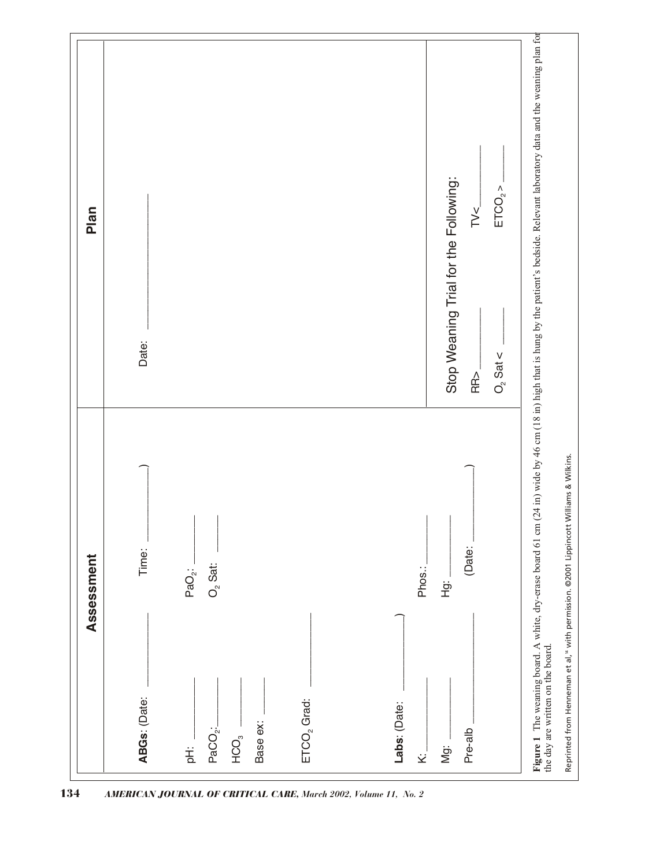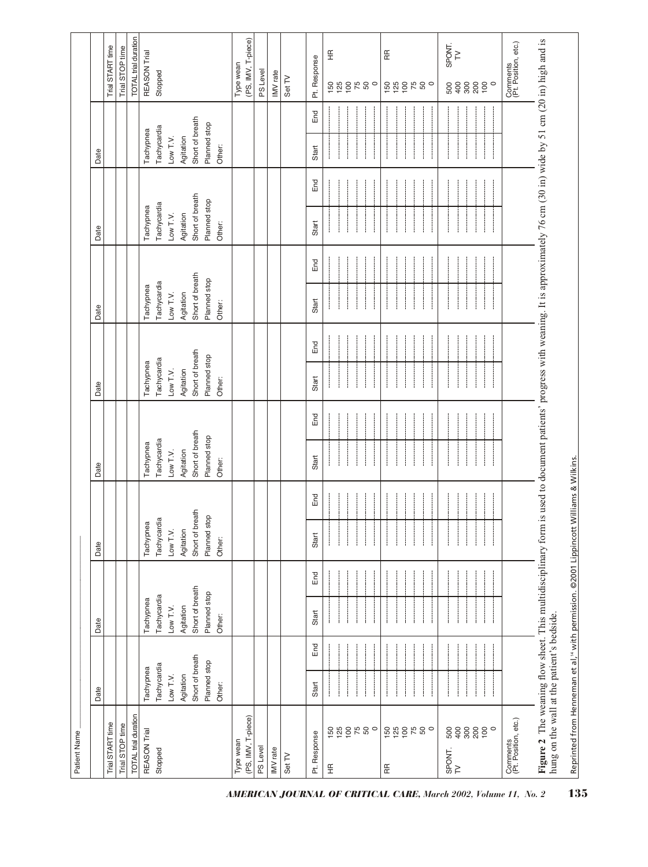| Patient Name                                                                                                                                                                                                                        |                 |     |                 |     |                      |     |                 |     |                 |     |                 |     |                 |     |                 |     |                                                              |  |
|-------------------------------------------------------------------------------------------------------------------------------------------------------------------------------------------------------------------------------------|-----------------|-----|-----------------|-----|----------------------|-----|-----------------|-----|-----------------|-----|-----------------|-----|-----------------|-----|-----------------|-----|--------------------------------------------------------------|--|
|                                                                                                                                                                                                                                     | Date            |     | Date            |     | Date                 |     | Date            |     | Date            |     | Date            |     | Date            |     | Date            |     |                                                              |  |
| Trial START time                                                                                                                                                                                                                    |                 |     |                 |     |                      |     |                 |     |                 |     |                 |     |                 |     |                 |     | Trial START time                                             |  |
| Trial STOP time                                                                                                                                                                                                                     |                 |     |                 |     |                      |     |                 |     |                 |     |                 |     |                 |     |                 |     | Trial STOP time                                              |  |
| TOTAL trial duration                                                                                                                                                                                                                |                 |     |                 |     |                      |     |                 |     |                 |     |                 |     |                 |     |                 |     | TOTAL trial duration                                         |  |
| REASON Trial                                                                                                                                                                                                                        | Tachypnea       |     | Tachypnea       |     | Tachypnea            |     | Tachypnea       |     | Tachypnea       |     | Tachypnea       |     | Tachypnea       |     | Tachypnea       |     | REASON Trial                                                 |  |
| Stopped                                                                                                                                                                                                                             | Tachycardia     |     | Tachycardia     |     | Tachycardia          |     | Tachycardia     |     | Tachycardia     |     | Tachycardia     |     | Tachycardia     |     | Tachycardia     |     | Stopped                                                      |  |
|                                                                                                                                                                                                                                     | Low $T.V.$      |     | Low T.V.        |     | Low T.V.             |     | Low T.V.        |     | Low T.V.        |     | Low T.V.        |     | Low T.V.        |     | Low T.V.        |     |                                                              |  |
|                                                                                                                                                                                                                                     | Agitation       |     | Agitation       |     | Agitation            |     | Agitation       |     | Agitation       |     | Agitation       |     | Agitation       |     | Agitation       |     |                                                              |  |
|                                                                                                                                                                                                                                     | Short of breath |     | Short of breath |     | breath<br>Short of b |     | Short of breath |     | Short of breath |     | Short of breath |     | Short of breath |     | Short of breath |     |                                                              |  |
|                                                                                                                                                                                                                                     | Planned stop    |     | Planned stop    |     | stop<br>Planned      |     | Planned stop    |     | Planned stop    |     | Planned stop    |     | Planned stop    |     | Planned stop    |     |                                                              |  |
|                                                                                                                                                                                                                                     | Other:          |     | Other:          |     | Other:               |     | Other:          |     | Other:          |     | Other:          |     | Other:          |     | Other:          |     |                                                              |  |
| (PS, IMV, T-piece)<br>Type wean                                                                                                                                                                                                     |                 |     |                 |     |                      |     |                 |     |                 |     |                 |     |                 |     |                 |     | (PS, IMV, T-piece)<br>Type wean                              |  |
| PS Level                                                                                                                                                                                                                            |                 |     |                 |     |                      |     |                 |     |                 |     |                 |     |                 |     |                 |     | PS Level                                                     |  |
| IMV rate                                                                                                                                                                                                                            |                 |     |                 |     |                      |     |                 |     |                 |     |                 |     |                 |     |                 |     | IMV rate                                                     |  |
| Set TV                                                                                                                                                                                                                              |                 |     |                 |     |                      |     |                 |     |                 |     |                 |     |                 |     |                 |     | Set TV                                                       |  |
| Pt. Response                                                                                                                                                                                                                        | Start           | End | Start           | End | Start                | End | Start           | End | Start           | End | Start           | End | Start           | End | Start           | End | Pt. Response                                                 |  |
| 589280<br>$\frac{\alpha}{\pm}$                                                                                                                                                                                                      |                 |     |                 |     |                      |     |                 |     |                 |     |                 |     |                 |     |                 |     | $\frac{\alpha}{\pm}$<br>75<br>$158$<br>$158$<br>$50^{\circ}$ |  |
| 586580<br>RR                                                                                                                                                                                                                        |                 |     |                 |     |                      |     |                 |     |                 |     |                 |     |                 |     |                 |     | Æ<br>1880<br>500                                             |  |
| 8880<br>$\circ$<br>500<br>400<br>SPONT.<br>TV                                                                                                                                                                                       |                 |     |                 |     |                      |     |                 |     |                 |     |                 |     |                 |     |                 |     | SPONT.<br>$\geq$<br>8880<br>$\circ$<br>500<br>400            |  |
| Comments<br>(Pt. Position, etc.)                                                                                                                                                                                                    |                 |     |                 |     |                      |     |                 |     |                 |     |                 |     |                 |     |                 |     | Comments<br>(Pt. Position, etc.)                             |  |
| Figure 2 The weaning flow sheet. This multidisciplinary form is used to document patients' progress with weaning. It is approximately 76 cm (30 in) wide by 51 cm (20 in) high and is<br>hung on the wall at the patient's bedside. |                 |     |                 |     |                      |     |                 |     |                 |     |                 |     |                 |     |                 |     |                                                              |  |

Reprinted from Henneman et al,<sup>14</sup> with permission. @2001 Lippincott Williams & Wilkins. Reprinted from Henneman et al,14 with permission. ©2001 Lippincott Williams & Wilkins.

*AMERICAN JOURNAL OF CRITICAL CARE, March 2002, Volume 11, No. 2* 135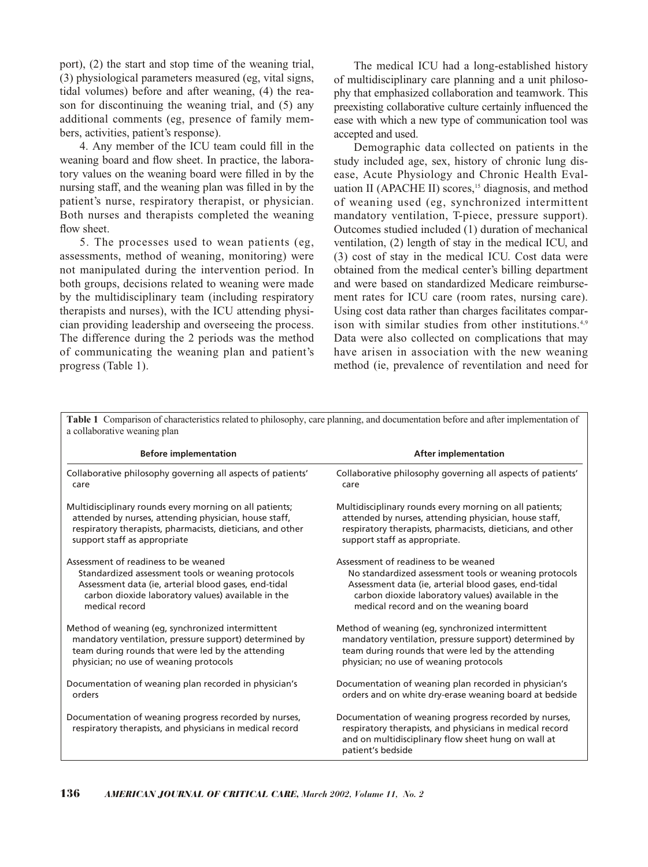port), (2) the start and stop time of the weaning trial, (3) physiological parameters measured (eg, vital signs, tidal volumes) before and after weaning, (4) the reason for discontinuing the weaning trial, and (5) any additional comments (eg, presence of family members, activities, patient's response).

4. Any member of the ICU team could fill in the weaning board and flow sheet. In practice, the laboratory values on the weaning board were filled in by the nursing staff, and the weaning plan was filled in by the patient's nurse, respiratory therapist, or physician. Both nurses and therapists completed the weaning flow sheet.

5. The processes used to wean patients (eg, assessments, method of weaning, monitoring) were not manipulated during the intervention period. In both groups, decisions related to weaning were made by the multidisciplinary team (including respiratory therapists and nurses), with the ICU attending physician providing leadership and overseeing the process. The difference during the 2 periods was the method of communicating the weaning plan and patient's progress (Table 1).

The medical ICU had a long-established history of multidisciplinary care planning and a unit philosophy that emphasized collaboration and teamwork. This preexisting collaborative culture certainly influenced the ease with which a new type of communication tool was accepted and used.

Demographic data collected on patients in the study included age, sex, history of chronic lung disease, Acute Physiology and Chronic Health Evaluation II (APACHE II) scores, $<sup>15</sup>$  diagnosis, and method</sup> of weaning used (eg, synchronized intermittent mandatory ventilation, T-piece, pressure support). Outcomes studied included (1) duration of mechanical ventilation, (2) length of stay in the medical ICU, and (3) cost of stay in the medical ICU. Cost data were obtained from the medical center's billing department and were based on standardized Medicare reimbursement rates for ICU care (room rates, nursing care). Using cost data rather than charges facilitates comparison with similar studies from other institutions.<sup>4,9</sup> Data were also collected on complications that may have arisen in association with the new weaning method (ie, prevalence of reventilation and need for

| a collaborative weaning plan                                                                                      |                                                                                                                                                                                               |
|-------------------------------------------------------------------------------------------------------------------|-----------------------------------------------------------------------------------------------------------------------------------------------------------------------------------------------|
| <b>Before implementation</b>                                                                                      | <b>After implementation</b>                                                                                                                                                                   |
| Collaborative philosophy governing all aspects of patients'                                                       | Collaborative philosophy governing all aspects of patients'                                                                                                                                   |
| care                                                                                                              | care                                                                                                                                                                                          |
| Multidisciplinary rounds every morning on all patients;                                                           | Multidisciplinary rounds every morning on all patients;                                                                                                                                       |
| attended by nurses, attending physician, house staff,                                                             | attended by nurses, attending physician, house staff,                                                                                                                                         |
| respiratory therapists, pharmacists, dieticians, and other                                                        | respiratory therapists, pharmacists, dieticians, and other                                                                                                                                    |
| support staff as appropriate                                                                                      | support staff as appropriate.                                                                                                                                                                 |
| Assessment of readiness to be weaned                                                                              | Assessment of readiness to be weaned                                                                                                                                                          |
| Standardized assessment tools or weaning protocols                                                                | No standardized assessment tools or weaning protocols                                                                                                                                         |
| Assessment data (ie, arterial blood gases, end-tidal                                                              | Assessment data (ie, arterial blood gases, end-tidal                                                                                                                                          |
| carbon dioxide laboratory values) available in the                                                                | carbon dioxide laboratory values) available in the                                                                                                                                            |
| medical record                                                                                                    | medical record and on the weaning board                                                                                                                                                       |
| Method of weaning (eg, synchronized intermittent                                                                  | Method of weaning (eg, synchronized intermittent                                                                                                                                              |
| mandatory ventilation, pressure support) determined by                                                            | mandatory ventilation, pressure support) determined by                                                                                                                                        |
| team during rounds that were led by the attending                                                                 | team during rounds that were led by the attending                                                                                                                                             |
| physician; no use of weaning protocols                                                                            | physician; no use of weaning protocols                                                                                                                                                        |
| Documentation of weaning plan recorded in physician's                                                             | Documentation of weaning plan recorded in physician's                                                                                                                                         |
| orders                                                                                                            | orders and on white dry-erase weaning board at bedside                                                                                                                                        |
| Documentation of weaning progress recorded by nurses,<br>respiratory therapists, and physicians in medical record | Documentation of weaning progress recorded by nurses,<br>respiratory therapists, and physicians in medical record<br>and on multidisciplinary flow sheet hung on wall at<br>patient's bedside |

**Table 1** Comparison of characteristics related to philosophy, care planning, and documentation before and after implementation of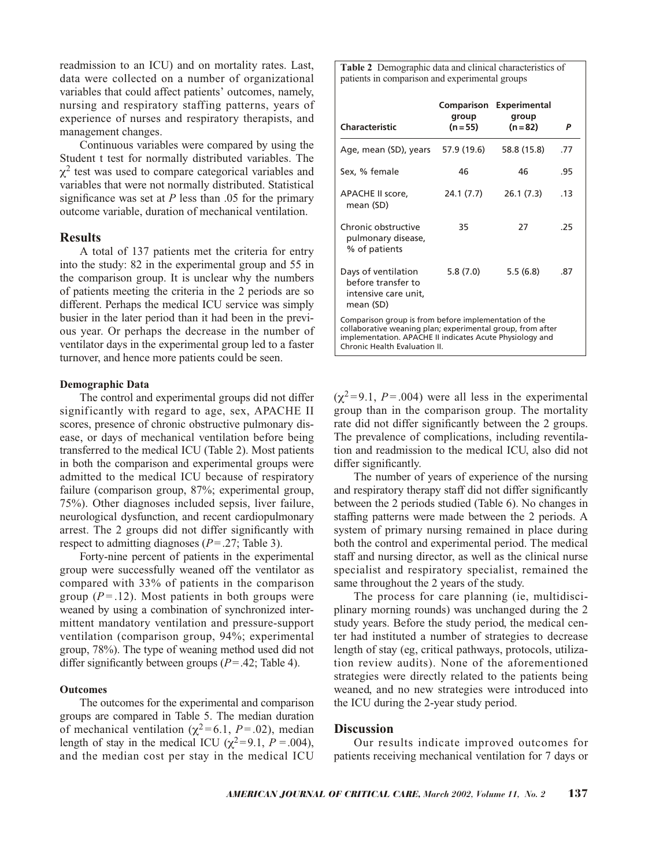readmission to an ICU) and on mortality rates. Last, data were collected on a number of organizational variables that could affect patients' outcomes, namely, nursing and respiratory staffing patterns, years of experience of nurses and respiratory therapists, and management changes.

Continuous variables were compared by using the Student t test for normally distributed variables. The  $\chi^2$  test was used to compare categorical variables and variables that were not normally distributed. Statistical significance was set at *P* less than .05 for the primary outcome variable, duration of mechanical ventilation.

## **Results**

A total of 137 patients met the criteria for entry into the study: 82 in the experimental group and 55 in the comparison group. It is unclear why the numbers of patients meeting the criteria in the 2 periods are so different. Perhaps the medical ICU service was simply busier in the later period than it had been in the previous year. Or perhaps the decrease in the number of ventilator days in the experimental group led to a faster turnover, and hence more patients could be seen.

## **Demographic Data**

The control and experimental groups did not differ significantly with regard to age, sex, APACHE II scores, presence of chronic obstructive pulmonary disease, or days of mechanical ventilation before being transferred to the medical ICU (Table 2). Most patients in both the comparison and experimental groups were admitted to the medical ICU because of respiratory failure (comparison group, 87%; experimental group, 75%). Other diagnoses included sepsis, liver failure, neurological dysfunction, and recent cardiopulmonary arrest. The 2 groups did not differ significantly with respect to admitting diagnoses (*P*=.27; Table 3).

Forty-nine percent of patients in the experimental group were successfully weaned off the ventilator as compared with 33% of patients in the comparison group  $(P = .12)$ . Most patients in both groups were weaned by using a combination of synchronized intermittent mandatory ventilation and pressure-support ventilation (comparison group, 94%; experimental group, 78%). The type of weaning method used did not differ significantly between groups  $(P = .42;$  Table 4).

## **Outcomes**

The outcomes for the experimental and comparison groups are compared in Table 5. The median duration of mechanical ventilation ( $χ² = 6.1, P = .02$ ), median length of stay in the medical ICU ( $\chi^2$ =9.1, *P* = .004), and the median cost per stay in the medical ICU

**Table 2** Demographic data and clinical characteristics of patients in comparison and experimental groups

| Characteristic                                                                                                                                                                                                   | Comparison<br>group<br>(n = 55) | <b>Experimental</b><br>group<br>$(n = 82)$ | P   |
|------------------------------------------------------------------------------------------------------------------------------------------------------------------------------------------------------------------|---------------------------------|--------------------------------------------|-----|
| Age, mean (SD), years                                                                                                                                                                                            | 57.9 (19.6)                     | 58.8 (15.8)                                | .77 |
| Sex, % female                                                                                                                                                                                                    | 46                              | 46                                         | .95 |
| APACHE II score,<br>mean (SD)                                                                                                                                                                                    | 24.1 (7.7)                      | 26.1(7.3)                                  | .13 |
| Chronic obstructive<br>pulmonary disease,<br>% of patients                                                                                                                                                       | 35                              | 27                                         | .25 |
| Days of ventilation<br>before transfer to<br>intensive care unit,<br>mean (SD)                                                                                                                                   | 5.8(7.0)                        | 5.5(6.8)                                   | .87 |
| Comparison group is from before implementation of the<br>collaborative weaning plan; experimental group, from after<br>implementation. APACHE II indicates Acute Physiology and<br>Chronic Health Evaluation II. |                                 |                                            |     |

 $(\chi^2 = 9.1, P = .004)$  were all less in the experimental group than in the comparison group. The mortality rate did not differ significantly between the 2 groups. The prevalence of complications, including reventilation and readmission to the medical ICU, also did not differ significantly.

The number of years of experience of the nursing and respiratory therapy staff did not differ significantly between the 2 periods studied (Table 6). No changes in staffing patterns were made between the 2 periods. A system of primary nursing remained in place during both the control and experimental period. The medical staff and nursing director, as well as the clinical nurse specialist and respiratory specialist, remained the same throughout the 2 years of the study.

The process for care planning (ie, multidisciplinary morning rounds) was unchanged during the 2 study years. Before the study period, the medical center had instituted a number of strategies to decrease length of stay (eg, critical pathways, protocols, utilization review audits). None of the aforementioned strategies were directly related to the patients being weaned, and no new strategies were introduced into the ICU during the 2-year study period.

## **Discussion**

Our results indicate improved outcomes for patients receiving mechanical ventilation for 7 days or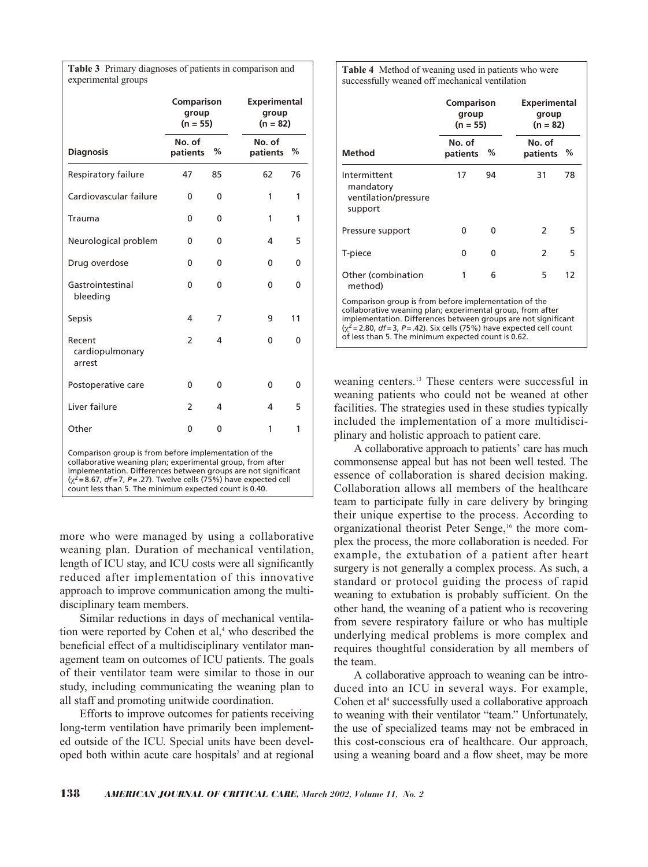**Table 3** Primary diagnoses of patients in comparison and experimental groups

|                                                                                                                                                                                                                                                                                                                            | Comparison<br>group<br>$(n = 55)$ |    | <b>Experimental</b><br>group<br>$(n = 82)$ |          |
|----------------------------------------------------------------------------------------------------------------------------------------------------------------------------------------------------------------------------------------------------------------------------------------------------------------------------|-----------------------------------|----|--------------------------------------------|----------|
| <b>Diagnosis</b>                                                                                                                                                                                                                                                                                                           | No. of<br>patients                | %  | No. of<br>patients                         | %        |
| Respiratory failure                                                                                                                                                                                                                                                                                                        | 47                                | 85 | 62                                         | 76       |
| Cardiovascular failure                                                                                                                                                                                                                                                                                                     | 0                                 | 0  | 1                                          | 1        |
| Trauma                                                                                                                                                                                                                                                                                                                     | 0                                 | 0  | 1                                          | 1        |
| Neurological problem                                                                                                                                                                                                                                                                                                       | 0                                 | 0  | 4                                          | 5        |
| Drug overdose                                                                                                                                                                                                                                                                                                              | 0                                 | 0  | 0                                          | $\Omega$ |
| Gastrointestinal<br>bleeding                                                                                                                                                                                                                                                                                               | $\mathbf{0}$                      | 0  | 0                                          | 0        |
| <b>Sepsis</b>                                                                                                                                                                                                                                                                                                              | 4                                 | 7  | 9                                          | 11       |
| Recent<br>cardiopulmonary<br>arrest                                                                                                                                                                                                                                                                                        | $\overline{2}$                    | 4  | 0                                          | 0        |
| Postoperative care                                                                                                                                                                                                                                                                                                         | $\mathbf 0$                       | 0  | 0                                          | 0        |
| Liver failure                                                                                                                                                                                                                                                                                                              | $\overline{2}$                    | 4  | 4                                          | 5        |
| Other                                                                                                                                                                                                                                                                                                                      | $\Omega$                          | 0  | 1                                          | 1        |
| Comparison group is from before implementation of the<br>collaborative weaning plan; experimental group, from after<br>implementation. Differences between groups are not significant<br>$(x^2 = 8.67, df = 7, P = .27)$ . Twelve cells (75%) have expected cell<br>count less than 5. The minimum expected count is 0.40. |                                   |    |                                            |          |

more who were managed by using a collaborative weaning plan. Duration of mechanical ventilation, length of ICU stay, and ICU costs were all significantly reduced after implementation of this innovative approach to improve communication among the multidisciplinary team members.

Similar reductions in days of mechanical ventilation were reported by Cohen et  $al<sub>1</sub><sup>4</sup>$  who described the beneficial effect of a multidisciplinary ventilator management team on outcomes of ICU patients. The goals of their ventilator team were similar to those in our study, including communicating the weaning plan to all staff and promoting unitwide coordination.

Efforts to improve outcomes for patients receiving long-term ventilation have primarily been implemented outside of the ICU. Special units have been developed both within acute care hospitals<sup>2</sup> and at regional **Table 4** Method of weaning used in patients who were successfully weaned off mechanical ventilation

|                                                                                                                                                                                                                                                                                                                                          | Comparison<br>group<br>$(n = 55)$ |    |                    | <b>Experimental</b><br>group<br>(n = 82) |  |  |
|------------------------------------------------------------------------------------------------------------------------------------------------------------------------------------------------------------------------------------------------------------------------------------------------------------------------------------------|-----------------------------------|----|--------------------|------------------------------------------|--|--|
| Method                                                                                                                                                                                                                                                                                                                                   | No. of<br>patients                | %  | No. of<br>patients | %                                        |  |  |
| Intermittent<br>mandatory<br>ventilation/pressure<br>support                                                                                                                                                                                                                                                                             | 17                                | 94 | 31                 | 78                                       |  |  |
| Pressure support                                                                                                                                                                                                                                                                                                                         | 0                                 | O  | $\mathcal{P}$      | 5                                        |  |  |
| T-piece                                                                                                                                                                                                                                                                                                                                  | ŋ                                 | O  | $\mathcal{P}$      | 5                                        |  |  |
| Other (combination<br>method)                                                                                                                                                                                                                                                                                                            | 1                                 | 6  | 5                  | 12                                       |  |  |
| Comparison group is from before implementation of the<br>collaborative weaning plan; experimental group, from after<br>implementation. Differences between groups are not significant<br>$\left(\chi^2 = 2.80, df = 3, P = .42\right)$ . Six cells (75%) have expected cell count<br>of less than 5. The minimum expected count is 0.62. |                                   |    |                    |                                          |  |  |

weaning centers.<sup>13</sup> These centers were successful in weaning patients who could not be weaned at other facilities. The strategies used in these studies typically included the implementation of a more multidisciplinary and holistic approach to patient care.

A collaborative approach to patients' care has much commonsense appeal but has not been well tested. The essence of collaboration is shared decision making. Collaboration allows all members of the healthcare team to participate fully in care delivery by bringing their unique expertise to the process. According to organizational theorist Peter Senge,<sup>16</sup> the more complex the process, the more collaboration is needed. For example, the extubation of a patient after heart surgery is not generally a complex process. As such, a standard or protocol guiding the process of rapid weaning to extubation is probably sufficient. On the other hand, the weaning of a patient who is recovering from severe respiratory failure or who has multiple underlying medical problems is more complex and requires thoughtful consideration by all members of the team.

A collaborative approach to weaning can be introduced into an ICU in several ways. For example, Cohen et al<sup>4</sup> successfully used a collaborative approach to weaning with their ventilator "team." Unfortunately, the use of specialized teams may not be embraced in this cost-conscious era of healthcare. Our approach, using a weaning board and a flow sheet, may be more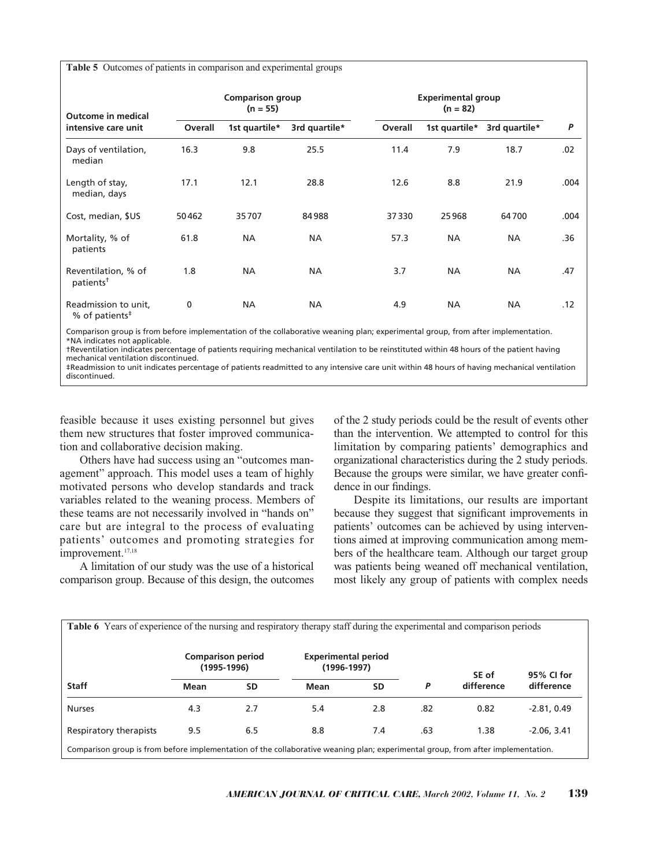**Table 5** Outcomes of patients in comparison and experimental groups

| Outcome in medical                                              |         | <b>Comparison group</b><br>$(n = 55)$ |               |         | <b>Experimental group</b><br>$(n = 82)$ |               |      |  |
|-----------------------------------------------------------------|---------|---------------------------------------|---------------|---------|-----------------------------------------|---------------|------|--|
| intensive care unit                                             | Overall | 1st quartile*                         | 3rd quartile* | Overall | 1st quartile*                           | 3rd quartile* | P    |  |
| Days of ventilation,<br>median                                  | 16.3    | 9.8                                   | 25.5          | 11.4    | 7.9                                     | 18.7          | .02  |  |
| Length of stay,<br>median, days                                 | 17.1    | 12.1                                  | 28.8          | 12.6    | 8.8                                     | 21.9          | .004 |  |
| Cost, median, \$US                                              | 50462   | 35707                                 | 84988         | 37330   | 25968                                   | 64700         | .004 |  |
| Mortality, % of<br>patients                                     | 61.8    | <b>NA</b>                             | <b>NA</b>     | 57.3    | <b>NA</b>                               | <b>NA</b>     | .36  |  |
| Reventilation, % of<br>patients <sup>†</sup>                    | 1.8     | <b>NA</b>                             | <b>NA</b>     | 3.7     | <b>NA</b>                               | <b>NA</b>     | .47  |  |
| Readmission to unit,<br>% of patients <sup><math>#</math></sup> | 0       | <b>NA</b>                             | <b>NA</b>     | 4.9     | <b>NA</b>                               | <b>NA</b>     | .12  |  |

Comparison group is from before implementation of the collaborative weaning plan; experimental group, from after implementation. \*NA indicates not applicable.

†Reventilation indicates percentage of patients requiring mechanical ventilation to be reinstituted within 48 hours of the patient having mechanical ventilation discontinued.

‡Readmission to unit indicates percentage of patients readmitted to any intensive care unit within 48 hours of having mechanical ventilation discontinued.

feasible because it uses existing personnel but gives them new structures that foster improved communication and collaborative decision making.

Others have had success using an "outcomes management" approach. This model uses a team of highly motivated persons who develop standards and track variables related to the weaning process. Members of these teams are not necessarily involved in "hands on" care but are integral to the process of evaluating patients' outcomes and promoting strategies for improvement.<sup>17,18</sup>

A limitation of our study was the use of a historical comparison group. Because of this design, the outcomes of the 2 study periods could be the result of events other than the intervention. We attempted to control for this limitation by comparing patients' demographics and organizational characteristics during the 2 study periods. Because the groups were similar, we have greater confidence in our findings.

Despite its limitations, our results are important because they suggest that significant improvements in patients' outcomes can be achieved by using interventions aimed at improving communication among members of the healthcare team. Although our target group was patients being weaned off mechanical ventilation, most likely any group of patients with complex needs

| <b>Table 6</b> Years of experience of the nursing and respiratory therapy staff during the experimental and comparison periods   |                                           |           |                                               |           |     |            |               |
|----------------------------------------------------------------------------------------------------------------------------------|-------------------------------------------|-----------|-----------------------------------------------|-----------|-----|------------|---------------|
|                                                                                                                                  | <b>Comparison period</b><br>$(1995-1996)$ |           | <b>Experimental period</b><br>$(1996 - 1997)$ |           |     | SE of      | 95% CI for    |
| <b>Staff</b>                                                                                                                     | Mean                                      | <b>SD</b> | <b>Mean</b>                                   | <b>SD</b> | P   | difference | difference    |
| <b>Nurses</b>                                                                                                                    | 4.3                                       | 2.7       | 5.4                                           | 2.8       | .82 | 0.82       | $-2.81, 0.49$ |
| Respiratory therapists                                                                                                           | 9.5                                       | 6.5       | 8.8                                           | 7.4       | .63 | 1.38       | $-2.06, 3.41$ |
| Comparison group is from before implementation of the collaborative weaning plan; experimental group, from after implementation. |                                           |           |                                               |           |     |            |               |